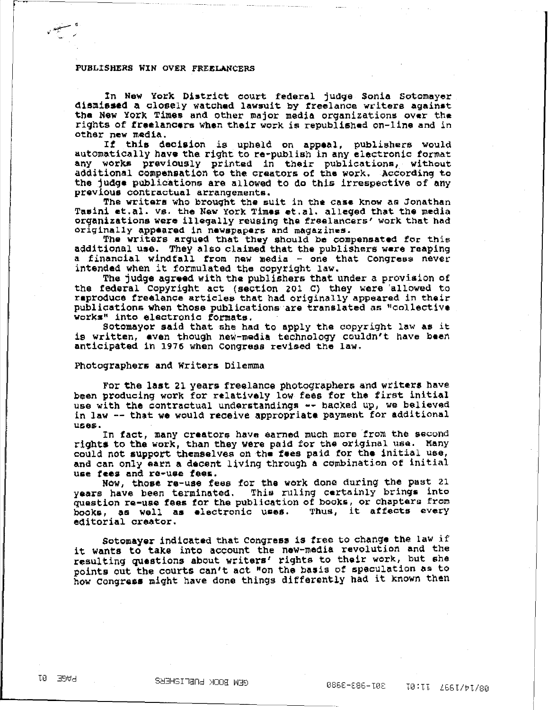## PUBLISHERS WIN OVER FREELANCERS

In New York District court federal judge Sonia Sotomayer<br>dismissed a closely watched lawsuit by freelance writers against the New York Times and other major media orqanizations over tha rights of freelancers when their work is republished on-line and in other new media.

new media.<br>If this decision is upheld on appeal, publishers would automatically have the right to re-publish in any electronic tormat any works previously printed in their publications, without additional compensation to the creators of the work. According to the judge publications are allowed to do this irrespective of any previous contractual arrangements.

The writers who brought the suit in the casa know as Jonathan Tasini et.al. vs. the New York Times et.al. alleged that the media organizations were illegally reusing the freelancers' work that had originally appeared in newspapers and magazines.

The writers argued that they should be compensated for this additional use. They also claimed that the publishers were reaping a financial windfall from new media - one that Congress never intended when it formulated the oopyright law.

The jUdge agreed with the publishers that under a provision of the federal Copyright act (section 201 C) they were allowed to reproduce freelance articles that had originally appeared in their publications when those publications are translated as "collective works" into electronic formats.

Sotomayor said that she had to apply the oopyright law as it is written, even though new-media technology couldn't have been anticipated in 1976 when Congress revised the law.

## Photographers and Writers Dilemma

For the last 21 years freelance photographers and writers have been producing work for relatively low fees for the first initial use with the contractual understandings -- backed up, we believed in law -- that we would receive appropriate payment for additional ulSes.

In tact, many creators have earned much more from the second rights to the work, than they were paid for the original use. Many could not support themselves on the fees paid tor the initial use, and can only earn a decent living through a combination of initial use fees and re-use fees.

NOW, those re-use fees for the work done during the past 21 years have been terminated. This rulinq certainly brings into question re-use fees for the publication of books, or chapters from<br>books, as well as electronic uses. Thus, it affects every books, as well as electronic uses.<br>editorial creator.

Sotomayer indicated that Congress is free to change the law if it wants to take into account the new-media revolution and the resulting questions about writers' rights to their work, but she points out the courts can't act "on the basis of speculation as to how congress might have done things differently had it known then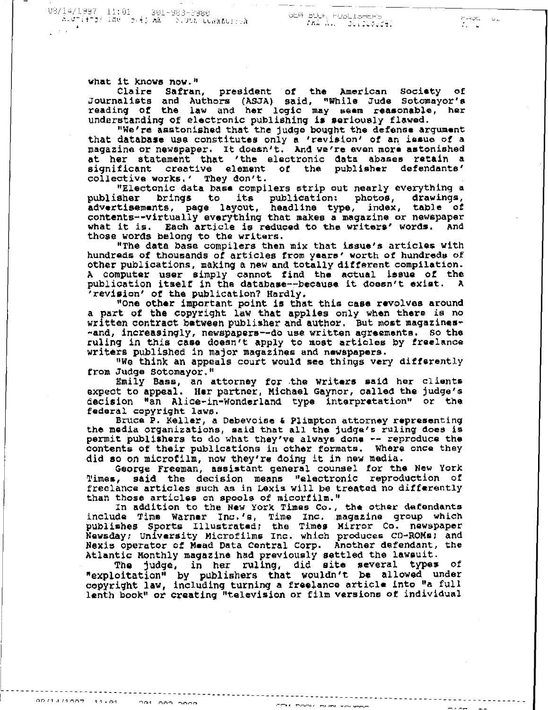- ZAA Au. - durzodozel -

HADE

what it knows now."

Claire Safran, president of the American Society of Journalists and Authors (ASJA) said, "While Jude Sotomayor's reading of the law and her logic may seem reasonable, her understanding of electronic publishing is seriously flawed.

"We're asstonished that the judge bought the defense argument that database use constitutes only a 'revision' of an issue of a magazine or newspaper. It doesn't. And we're even more astonished at her statement that 'the electronic data abases retain a significant creative element of the publisher defendants' collective works,' They don't.

"Electonic data base compilers strip out nearly everything a publisher brings to its publication: photos, drawings, advertisements, page layout, headline type, index, table of contents--virtually everything that makes a magazine or newspaper what it is. Each article is reduced to the writers' words. And those words belong to the writers.

"The data base compilers then mix that issue's articles with hundreds of thousands of articles from years' worth of hundreds of other publications, making a new and totally different compilation. A computer user simply cannot find the actual issue of the publication itself in the database--because it doesn't exist. A 'revision' of the publication? Hardly.

"One other important point is that this case revolves around a part of the copyright law that applies only when there is no written contract between publisher and author. But most magazines--and, increasingly, newspapers--do use written agreements. So the ruling in this case doesn't apply to most articles by freelance writers published in major magazines and newspapers.

"We think an appeals court would see things very differently from Judge Sotomayor."

Emily Bass, an attorney for the Writers said her clients expect to appeal. Her partner, Michael Gaynor, called the judge's decision "an Alice-in-Wonderland type interpretation" or the federal copyright laws.

Bruce P. Keller, a Debevoise & Plimpton attorney representing the media organizations, said that all the judge's ruling does is permit publishers to do what they've always done -- reproduce the contents of their publications in other formats. Where once they did so on microfilm, now they're doing it in new media.

George Freeman, assistant general counsel for the New York said the decision means "electronic reproduction of Times, freelance articles such as in Lexis will be treated no differently than those articles on spools of micorfilm."

In addition to the New York Times Co., the other defendants include Time Warner Inc.'s, Time Inc. magazine group which<br>publishes Sports Illustrated; the Times Mirror Co. newspaper<br>Newsday; University Microfilms Inc. which produces CD-ROMs; and Nexis operator of Mead Data Central Corp. Another defendant, the Atlantic Monthly magazine had previously settled the lawsuit.

The judge, in her ruling, did site several types of "exploitation" by publishers that wouldn't be allowed under copyright law, including turning a freelance article into "a full lenth book" or creating "television or film versions of individual

 $0.011411007 - 11.61$ **COM COO SOOR**